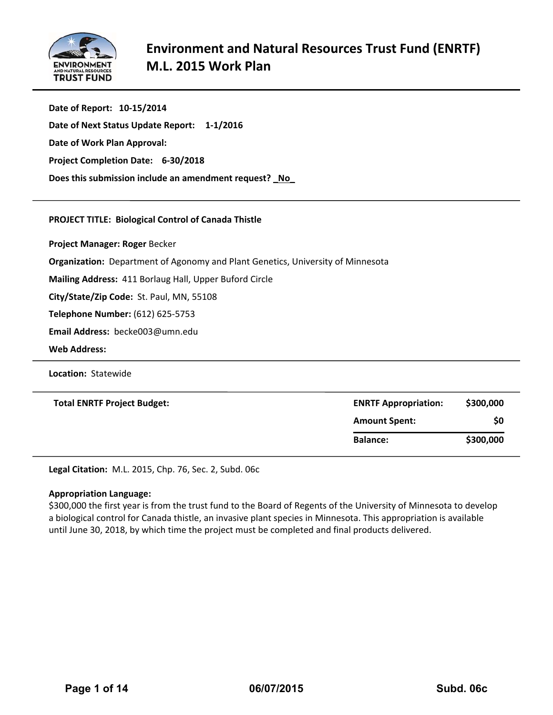

| Date of Report: 10-15/2014                            |
|-------------------------------------------------------|
| Date of Next Status Update Report: 1-1/2016           |
| Date of Work Plan Approval:                           |
| Project Completion Date: 6-30/2018                    |
| Does this submission include an amendment request? No |

#### **PROJECT TITLE: Biological Control of Canada Thistle**

**Project Manager: Roger** Becker

**Organization:** Department of Agonomy and Plant Genetics, University of Minnesota

**Mailing Address:** 411 Borlaug Hall, Upper Buford Circle

**City/State/Zip Code:** St. Paul, MN, 55108

**Telephone Number:** (612) 625‐5753

**Email Address:** becke003@umn.edu

**Web Address:**

**Location: Statewide** 

| <b>Total ENRTF Project Budget:</b> | <b>ENRTF Appropriation:</b> | \$300,000 |
|------------------------------------|-----------------------------|-----------|
|                                    | <b>Amount Spent:</b>        | \$0       |
|                                    | <b>Balance:</b>             | \$300,000 |

**Legal Citation:** M.L. 2015, Chp. 76, Sec. 2, Subd. 06c

#### **Appropriation Language:**

\$300,000 the first year is from the trust fund to the Board of Regents of the University of Minnesota to develop a biological control for Canada thistle, an invasive plant species in Minnesota. This appropriation is available until June 30, 2018, by which time the project must be completed and final products delivered.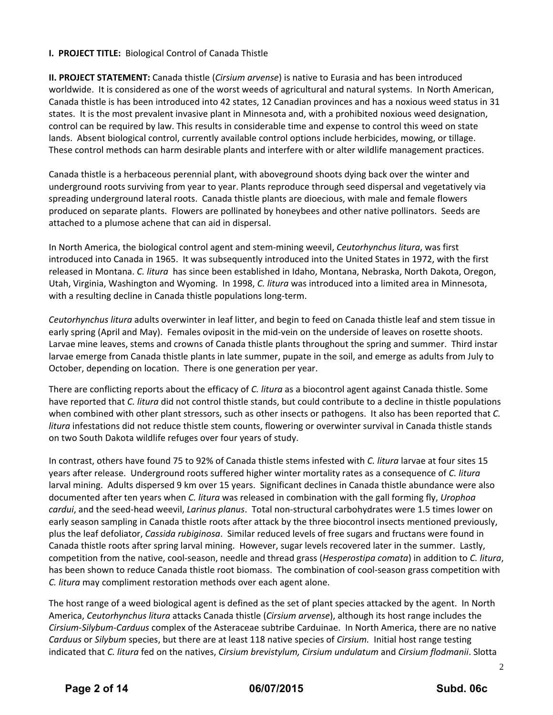#### **I. PROJECT TITLE:** Biological Control of Canada Thistle

**II. PROJECT STATEMENT:** Canada thistle (*Cirsium arvense*) is native to Eurasia and has been introduced worldwide. It is considered as one of the worst weeds of agricultural and natural systems. In North American, Canada thistle is has been introduced into 42 states, 12 Canadian provinces and has a noxious weed status in 31 states. It is the most prevalent invasive plant in Minnesota and, with a prohibited noxious weed designation, control can be required by law. This results in considerable time and expense to control this weed on state lands. Absent biological control, currently available control options include herbicides, mowing, or tillage. These control methods can harm desirable plants and interfere with or alter wildlife management practices.

Canada thistle is a herbaceous perennial plant, with aboveground shoots dying back over the winter and underground roots surviving from year to year. Plants reproduce through seed dispersal and vegetatively via spreading underground lateral roots. Canada thistle plants are dioecious, with male and female flowers produced on separate plants. Flowers are pollinated by honeybees and other native pollinators. Seeds are attached to a plumose achene that can aid in dispersal.

In North America, the biological control agent and stem‐mining weevil, *Ceutorhynchus litura*, was first introduced into Canada in 1965. It was subsequently introduced into the United States in 1972, with the first released in Montana. *C. litura* has since been established in Idaho, Montana, Nebraska, North Dakota, Oregon, Utah, Virginia, Washington and Wyoming. In 1998, *C. litura* was introduced into a limited area in Minnesota, with a resulting decline in Canada thistle populations long-term.

*Ceutorhynchus litura* adults overwinter in leaf litter, and begin to feed on Canada thistle leaf and stem tissue in early spring (April and May). Females oviposit in the mid-vein on the underside of leaves on rosette shoots. Larvae mine leaves, stems and crowns of Canada thistle plants throughout the spring and summer. Third instar larvae emerge from Canada thistle plants in late summer, pupate in the soil, and emerge as adults from July to October, depending on location. There is one generation per year.

There are conflicting reports about the efficacy of *C. litura* as a biocontrol agent against Canada thistle. Some have reported that *C. litura* did not control thistle stands, but could contribute to a decline in thistle populations when combined with other plant stressors, such as other insects or pathogens. It also has been reported that *C. litura* infestations did not reduce thistle stem counts, flowering or overwinter survival in Canada thistle stands on two South Dakota wildlife refuges over four years of study.

In contrast, others have found 75 to 92% of Canada thistle stems infested with *C. litura* larvae at four sites 15 years after release. Underground roots suffered higher winter mortality rates as a consequence of *C. litura* larval mining. Adults dispersed 9 km over 15 years. Significant declines in Canada thistle abundance were also documented after ten years when *C. litura* was released in combination with the gall forming fly, *Urophoa cardui*, and the seed‐head weevil, *Larinus planus*. Total non‐structural carbohydrates were 1.5 times lower on early season sampling in Canada thistle roots after attack by the three biocontrol insects mentioned previously, plus the leaf defoliator, *Cassida rubiginosa*. Similar reduced levels of free sugars and fructans were found in Canada thistle roots after spring larval mining. However, sugar levels recovered later in the summer. Lastly, competition from the native, cool‐season, needle and thread grass (*Hesperostipa comata*) in addition to *C. litura*, has been shown to reduce Canada thistle root biomass. The combination of cool-season grass competition with *C. litura* may compliment restoration methods over each agent alone.

The host range of a weed biological agent is defined as the set of plant species attacked by the agent. In North America, *Ceutorhynchus litura* attacks Canada thistle (*Cirsium arvense*), although its host range includes the *Cirsium‐Silybum‐Carduus* complex of the Asteraceae subtribe Carduinae. In North America, there are no native *Carduus* or *Silybum* species, but there are at least 118 native species of *Cirsium.* Initial host range testing indicated that *C. litura* fed on the natives, *Cirsium brevistylum, Cirsium undulatum* and *Cirsium flodmanii*. Slotta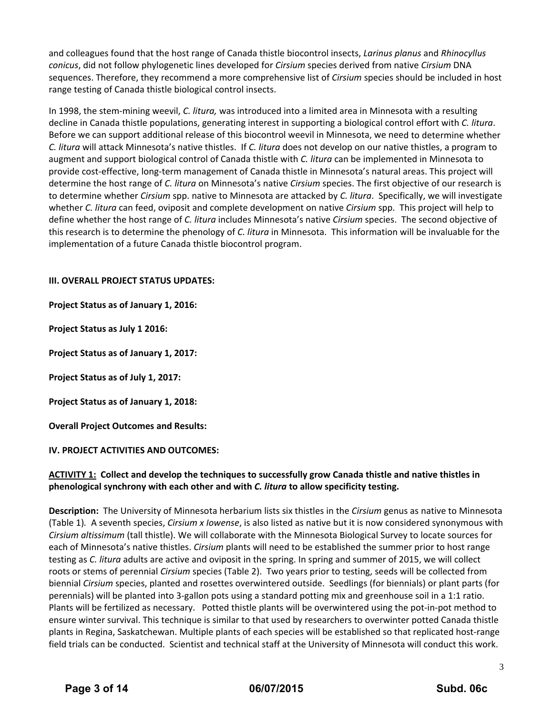and colleagues found that the host range of Canada thistle biocontrol insects, *Larinus planus* and *Rhinocyllus conicus*, did not follow phylogenetic lines developed for *Cirsium* species derived from native *Cirsium* DNA sequences. Therefore, they recommend a more comprehensive list of *Cirsium* species should be included in host range testing of Canada thistle biological control insects.

In 1998, the stem‐mining weevil, *C. litura,* was introduced into a limited area in Minnesota with a resulting decline in Canada thistle populations, generating interest in supporting a biological control effort with *C. litura*. Before we can support additional release of this biocontrol weevil in Minnesota, we need to determine whether *C. litura* will attack Minnesota's native thistles. If *C. litura* does not develop on our native thistles, a program to augment and support biological control of Canada thistle with *C. litura* can be implemented in Minnesota to provide cost‐effective, long‐term management of Canada thistle in Minnesota's natural areas. This project will determine the host range of *C. litura* on Minnesota's native *Cirsium* species. The first objective of our research is to determine whether *Cirsium* spp. native to Minnesota are attacked by *C. litura*. Specifically, we will investigate whether *C. litura* can feed, oviposit and complete development on native *Cirsium* spp. This project will help to define whether the host range of *C. litura* includes Minnesota's native *Cirsium* species. The second objective of this research is to determine the phenology of *C. litura* in Minnesota. This information will be invaluable for the implementation of a future Canada thistle biocontrol program.

#### **III. OVERALL PROJECT STATUS UPDATES:**

**Project Status as of January 1, 2016:**

**Project Status as July 1 2016:**

**Project Status as of January 1, 2017:**

**Project Status as of July 1, 2017:**

**Project Status as of January 1, 2018:**

**Overall Project Outcomes and Results:** 

#### **IV. PROJECT ACTIVITIES AND OUTCOMES:**

#### **ACTIVITY 1: Collect and develop the techniques to successfully grow Canada thistle and native thistles in phenological synchrony with each other and with** *C. litura* **to allow specificity testing.**

**Description:** The University of Minnesota herbarium lists six thistles in the *Cirsium* genus as native to Minnesota (Table 1)*.* A seventh species, *Cirsium x Iowense*, is also listed as native but it is now considered synonymous with *Cirsium altissimum* (tall thistle). We will collaborate with the Minnesota Biological Survey to locate sources for each of Minnesota's native thistles. *Cirsium* plants will need to be established the summer prior to host range testing as *C. litura* adults are active and oviposit in the spring. In spring and summer of 2015, we will collect roots or stems of perennial *Cirsium* species (Table 2). Two years prior to testing, seeds will be collected from biennial *Cirsium* species, planted and rosettes overwintered outside. Seedlings (for biennials) or plant parts (for perennials) will be planted into 3‐gallon pots using a standard potting mix and greenhouse soil in a 1:1 ratio. Plants will be fertilized as necessary. Potted thistle plants will be overwintered using the pot‐in‐pot method to ensure winter survival. This technique is similar to that used by researchers to overwinter potted Canada thistle plants in Regina, Saskatchewan. Multiple plants of each species will be established so that replicated host-range field trials can be conducted. Scientist and technical staff at the University of Minnesota will conduct this work.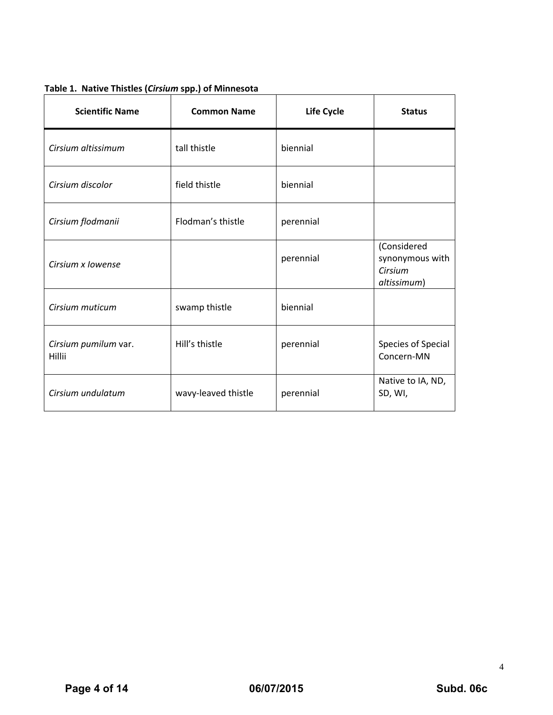|  | Table 1. Native Thistles (Cirsium spp.) of Minnesota |  |  |
|--|------------------------------------------------------|--|--|
|--|------------------------------------------------------|--|--|

| <b>Scientific Name</b>         | <b>Common Name</b>  | Life Cycle | <b>Status</b>                                            |
|--------------------------------|---------------------|------------|----------------------------------------------------------|
| Cirsium altissimum             | tall thistle        | biennial   |                                                          |
| Cirsium discolor               | field thistle       | biennial   |                                                          |
| Cirsium flodmanii              | Flodman's thistle   | perennial  |                                                          |
| Cirsium x lowense              |                     | perennial  | (Considered<br>synonymous with<br>Cirsium<br>altissimum) |
| Cirsium muticum                | swamp thistle       | biennial   |                                                          |
| Cirsium pumilum var.<br>Hillii | Hill's thistle      | perennial  | Species of Special<br>Concern-MN                         |
| Cirsium undulatum              | wavy-leaved thistle | perennial  | Native to IA, ND,<br>SD, WI,                             |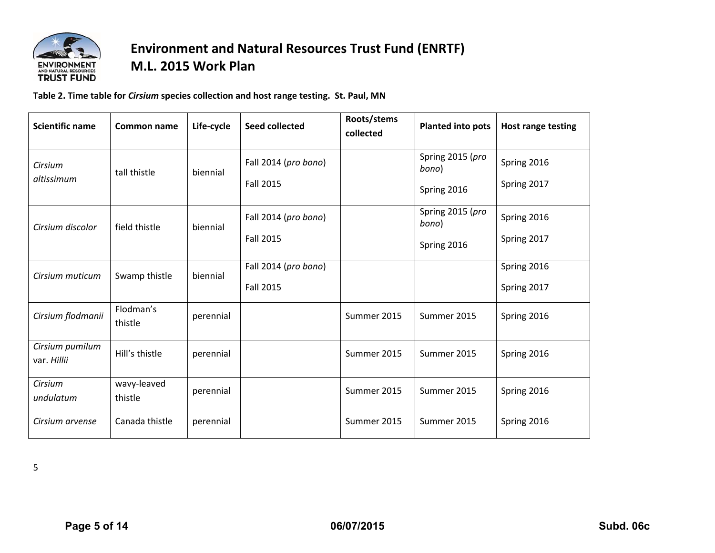

## **Environment and Natural Resources Trust Fund (ENRTF) M.L. 2015 Work Plan**

**Table 2. Time table for** *Cirsium* **species collection and host range testing. St. Paul, MN**

| <b>Scientific name</b>         | Common name            | Life-cycle | Seed collected                           | Roots/stems<br>collected | <b>Planted into pots</b>                 | <b>Host range testing</b>  |
|--------------------------------|------------------------|------------|------------------------------------------|--------------------------|------------------------------------------|----------------------------|
| Cirsium<br>altissimum          | tall thistle           | biennial   | Fall 2014 (pro bono)<br>Fall 2015        |                          | Spring 2015 (pro<br>bono)<br>Spring 2016 | Spring 2016<br>Spring 2017 |
| Cirsium discolor               | field thistle          | biennial   | Fall 2014 (pro bono)<br><b>Fall 2015</b> |                          | Spring 2015 (pro<br>bono)<br>Spring 2016 | Spring 2016<br>Spring 2017 |
| Cirsium muticum                | Swamp thistle          | biennial   | Fall 2014 (pro bono)<br><b>Fall 2015</b> |                          |                                          | Spring 2016<br>Spring 2017 |
| Cirsium flodmanii              | Flodman's<br>thistle   | perennial  |                                          | Summer 2015              | Summer 2015                              | Spring 2016                |
| Cirsium pumilum<br>var. Hillii | Hill's thistle         | perennial  |                                          | Summer 2015              | Summer 2015                              | Spring 2016                |
| Cirsium<br>undulatum           | wavy-leaved<br>thistle | perennial  |                                          | Summer 2015              | Summer 2015                              | Spring 2016                |
| Cirsium arvense                | Canada thistle         | perennial  |                                          | Summer 2015              | Summer 2015                              | Spring 2016                |

5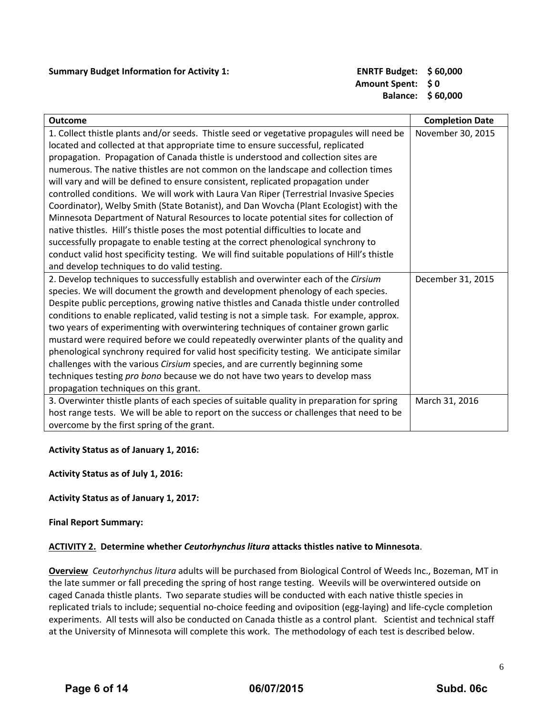#### **Summary Budget Information for Activity 1: ENRTF Budget: \$ 60,000**

## **Amount Spent: \$ 0 Balance: \$ 60,000**

| <b>Outcome</b>                                                                              | <b>Completion Date</b> |
|---------------------------------------------------------------------------------------------|------------------------|
| 1. Collect thistle plants and/or seeds. Thistle seed or vegetative propagules will need be  | November 30, 2015      |
| located and collected at that appropriate time to ensure successful, replicated             |                        |
| propagation. Propagation of Canada thistle is understood and collection sites are           |                        |
|                                                                                             |                        |
| numerous. The native thistles are not common on the landscape and collection times          |                        |
| will vary and will be defined to ensure consistent, replicated propagation under            |                        |
| controlled conditions. We will work with Laura Van Riper (Terrestrial Invasive Species      |                        |
| Coordinator), Welby Smith (State Botanist), and Dan Wovcha (Plant Ecologist) with the       |                        |
| Minnesota Department of Natural Resources to locate potential sites for collection of       |                        |
| native thistles. Hill's thistle poses the most potential difficulties to locate and         |                        |
| successfully propagate to enable testing at the correct phenological synchrony to           |                        |
| conduct valid host specificity testing. We will find suitable populations of Hill's thistle |                        |
| and develop techniques to do valid testing.                                                 |                        |
| 2. Develop techniques to successfully establish and overwinter each of the Cirsium          | December 31, 2015      |
| species. We will document the growth and development phenology of each species.             |                        |
| Despite public perceptions, growing native thistles and Canada thistle under controlled     |                        |
| conditions to enable replicated, valid testing is not a simple task. For example, approx.   |                        |
| two years of experimenting with overwintering techniques of container grown garlic          |                        |
| mustard were required before we could repeatedly overwinter plants of the quality and       |                        |
| phenological synchrony required for valid host specificity testing. We anticipate similar   |                        |
| challenges with the various Cirsium species, and are currently beginning some               |                        |
| techniques testing pro bono because we do not have two years to develop mass                |                        |
| propagation techniques on this grant.                                                       |                        |
| 3. Overwinter thistle plants of each species of suitable quality in preparation for spring  | March 31, 2016         |
| host range tests. We will be able to report on the success or challenges that need to be    |                        |
| overcome by the first spring of the grant.                                                  |                        |

#### **Activity Status as of January 1, 2016:**

#### **Activity Status as of July 1, 2016:**

#### **Activity Status as of January 1, 2017:**

#### **Final Report Summary:**

#### **ACTIVITY 2. Determine whether** *Ceutorhynchus litura* **attacks thistles native to Minnesota**.

**Overview** *Ceutorhynchus litura* adults will be purchased from Biological Control of Weeds Inc., Bozeman, MT in the late summer or fall preceding the spring of host range testing. Weevils will be overwintered outside on caged Canada thistle plants. Two separate studies will be conducted with each native thistle species in replicated trials to include; sequential no‐choice feeding and oviposition (egg‐laying) and life‐cycle completion experiments. All tests will also be conducted on Canada thistle as a control plant. Scientist and technical staff at the University of Minnesota will complete this work. The methodology of each test is described below.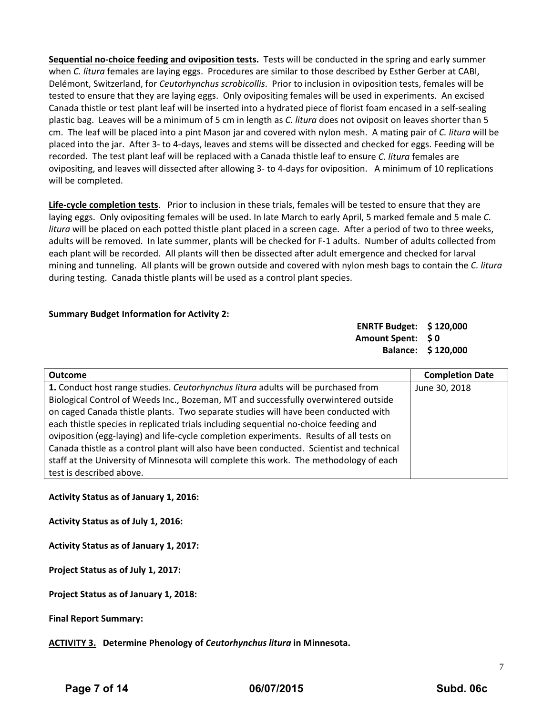**Sequential no‐choice feeding and oviposition tests.** Tests will be conducted in the spring and early summer when *C. litura* females are laying eggs. Procedures are similar to those described by Esther Gerber at CABI, Delémont, Switzerland, for *Ceutorhynchus scrobicollis*. Prior to inclusion in oviposition tests, females will be tested to ensure that they are laying eggs. Only ovipositing females will be used in experiments. An excised Canada thistle or test plant leaf will be inserted into a hydrated piece of florist foam encased in a self‐sealing plastic bag. Leaves will be a minimum of 5 cm in length as *C. litura* does not oviposit on leaves shorter than 5 cm. The leaf will be placed into a pint Mason jar and covered with nylon mesh. A mating pair of *C. litura* will be placed into the jar. After 3‐ to 4‐days, leaves and stems will be dissected and checked for eggs. Feeding will be recorded. The test plant leaf will be replaced with a Canada thistle leaf to ensure *C. litura* females are ovipositing, and leaves will dissected after allowing 3‐ to 4‐days for oviposition. A minimum of 10 replications will be completed.

**Life‐cycle completion tests**. Prior to inclusion in these trials, females will be tested to ensure that they are laying eggs. Only ovipositing females will be used. In late March to early April, 5 marked female and 5 male *C. litura* will be placed on each potted thistle plant placed in a screen cage. After a period of two to three weeks, adults will be removed. In late summer, plants will be checked for F‐1 adults. Number of adults collected from each plant will be recorded. All plants will then be dissected after adult emergence and checked for larval mining and tunneling. All plants will be grown outside and covered with nylon mesh bags to contain the *C. litura* during testing. Canada thistle plants will be used as a control plant species.

#### **Summary Budget Information for Activity 2:**

**ENRTF Budget: \$ 120,000 Amount Spent: \$ 0 Balance: \$ 120,000**

| <b>Outcome</b>                                                                           | <b>Completion Date</b> |
|------------------------------------------------------------------------------------------|------------------------|
| 1. Conduct host range studies. Ceutorhynchus litura adults will be purchased from        | June 30, 2018          |
| Biological Control of Weeds Inc., Bozeman, MT and successfully overwintered outside      |                        |
| on caged Canada thistle plants. Two separate studies will have been conducted with       |                        |
| each thistle species in replicated trials including sequential no-choice feeding and     |                        |
| oviposition (egg-laying) and life-cycle completion experiments. Results of all tests on  |                        |
| Canada thistle as a control plant will also have been conducted. Scientist and technical |                        |
| staff at the University of Minnesota will complete this work. The methodology of each    |                        |
| test is described above.                                                                 |                        |

#### **Activity Status as of January 1, 2016:**

**Activity Status as of July 1, 2016:**

**Activity Status as of January 1, 2017:**

**Project Status as of July 1, 2017:**

**Project Status as of January 1, 2018:**

**Final Report Summary:**

**ACTIVITY 3. Determine Phenology of** *Ceutorhynchus litura* **in Minnesota.**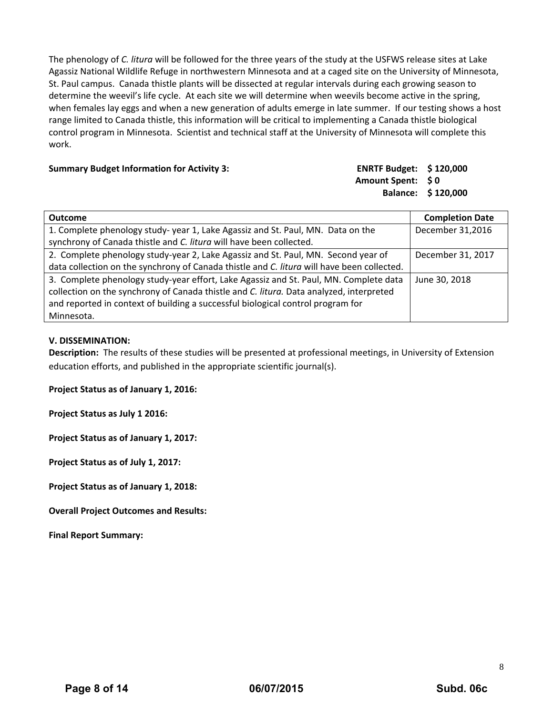The phenology of *C. litura* will be followed for the three years of the study at the USFWS release sites at Lake Agassiz National Wildlife Refuge in northwestern Minnesota and at a caged site on the University of Minnesota, St. Paul campus. Canada thistle plants will be dissected at regular intervals during each growing season to determine the weevil's life cycle. At each site we will determine when weevils become active in the spring, when females lay eggs and when a new generation of adults emerge in late summer. If our testing shows a host range limited to Canada thistle, this information will be critical to implementing a Canada thistle biological control program in Minnesota. Scientist and technical staff at the University of Minnesota will complete this work.

#### **Summary Budget Information for Activity 3: ENRTF Budget: \$ 120,000**

### **Amount Spent: \$ 0 Balance: \$ 120,000**

| <b>Outcome</b>                                                                             | <b>Completion Date</b> |
|--------------------------------------------------------------------------------------------|------------------------|
| 1. Complete phenology study-year 1, Lake Agassiz and St. Paul, MN. Data on the             | December 31,2016       |
| synchrony of Canada thistle and C. litura will have been collected.                        |                        |
| 2. Complete phenology study-year 2, Lake Agassiz and St. Paul, MN. Second year of          | December 31, 2017      |
| data collection on the synchrony of Canada thistle and C. litura will have been collected. |                        |
| 3. Complete phenology study-year effort, Lake Agassiz and St. Paul, MN. Complete data      | June 30, 2018          |
| collection on the synchrony of Canada thistle and C. litura. Data analyzed, interpreted    |                        |
| and reported in context of building a successful biological control program for            |                        |
| Minnesota.                                                                                 |                        |

#### **V. DISSEMINATION:**

**Description:** The results of these studies will be presented at professional meetings, in University of Extension education efforts, and published in the appropriate scientific journal(s).

**Project Status as of January 1, 2016:**

**Project Status as July 1 2016:**

**Project Status as of January 1, 2017:**

**Project Status as of July 1, 2017:**

**Project Status as of January 1, 2018:**

**Overall Project Outcomes and Results:**

**Final Report Summary:**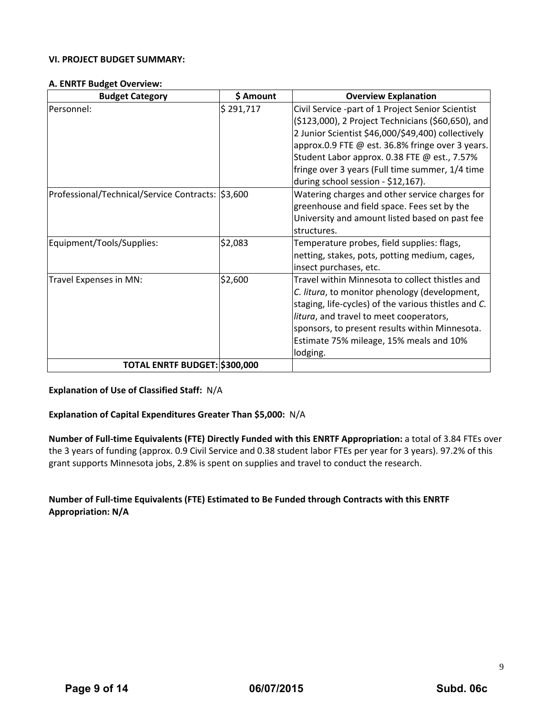#### **VI. PROJECT BUDGET SUMMARY:**

#### **A. ENRTF Budget Overview:**

| <b>Budget Category</b>                            | \$ Amount | <b>Overview Explanation</b>                                                                                                                                                                                                                                                                                                                                |
|---------------------------------------------------|-----------|------------------------------------------------------------------------------------------------------------------------------------------------------------------------------------------------------------------------------------------------------------------------------------------------------------------------------------------------------------|
| Personnel:                                        | \$291,717 | Civil Service -part of 1 Project Senior Scientist<br>(\$123,000), 2 Project Technicians (\$60,650), and<br>2 Junior Scientist \$46,000/\$49,400) collectively<br>approx.0.9 FTE @ est. 36.8% fringe over 3 years.<br>Student Labor approx. 0.38 FTE @ est., 7.57%<br>fringe over 3 years (Full time summer, 1/4 time<br>during school session - \$12,167). |
| Professional/Technical/Service Contracts: \$3,600 |           | Watering charges and other service charges for<br>greenhouse and field space. Fees set by the<br>University and amount listed based on past fee<br>structures.                                                                                                                                                                                             |
| Equipment/Tools/Supplies:                         | \$2,083   | Temperature probes, field supplies: flags,<br>netting, stakes, pots, potting medium, cages,<br>insect purchases, etc.                                                                                                                                                                                                                                      |
| Travel Expenses in MN:                            | \$2,600   | Travel within Minnesota to collect thistles and<br>C. litura, to monitor phenology (development,<br>staging, life-cycles) of the various thistles and C.<br>litura, and travel to meet cooperators,<br>sponsors, to present results within Minnesota.<br>Estimate 75% mileage, 15% meals and 10%<br>lodging.                                               |
| TOTAL ENRTF BUDGET: \$300,000                     |           |                                                                                                                                                                                                                                                                                                                                                            |

#### **Explanation of Use of Classified Staff:** N/A

#### **Explanation of Capital Expenditures Greater Than \$5,000:** N/A

**Number of Full‐time Equivalents (FTE) Directly Funded with this ENRTF Appropriation:** a total of 3.84 FTEs over the 3 years of funding (approx. 0.9 Civil Service and 0.38 student labor FTEs per year for 3 years). 97.2% of this grant supports Minnesota jobs, 2.8% is spent on supplies and travel to conduct the research.

#### **Number of Full‐time Equivalents (FTE) Estimated to Be Funded through Contracts with this ENRTF Appropriation: N/A**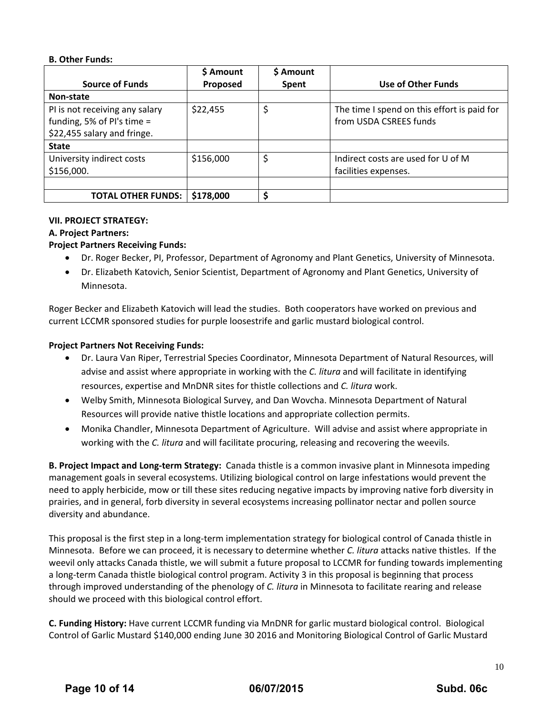#### **B. Other Funds:**

|                                | \$ Amount | \$ Amount    |                                             |
|--------------------------------|-----------|--------------|---------------------------------------------|
| <b>Source of Funds</b>         | Proposed  | <b>Spent</b> | Use of Other Funds                          |
| Non-state                      |           |              |                                             |
| PI is not receiving any salary | \$22,455  |              | The time I spend on this effort is paid for |
| funding, 5% of PI's time =     |           |              | from USDA CSREES funds                      |
| \$22,455 salary and fringe.    |           |              |                                             |
| <b>State</b>                   |           |              |                                             |
| University indirect costs      | \$156,000 |              | Indirect costs are used for U of M          |
| \$156,000.                     |           |              | facilities expenses.                        |
|                                |           |              |                                             |
| <b>TOTAL OTHER FUNDS:</b>      | \$178,000 | ς            |                                             |

#### **VII. PROJECT STRATEGY:**

#### **A. Project Partners:**

#### **Project Partners Receiving Funds:**

- Dr. Roger Becker, PI, Professor, Department of Agronomy and Plant Genetics, University of Minnesota.
- Dr. Elizabeth Katovich, Senior Scientist, Department of Agronomy and Plant Genetics, University of Minnesota.

Roger Becker and Elizabeth Katovich will lead the studies. Both cooperators have worked on previous and current LCCMR sponsored studies for purple loosestrife and garlic mustard biological control.

#### **Project Partners Not Receiving Funds:**

- Dr. Laura Van Riper, Terrestrial Species Coordinator, Minnesota Department of Natural Resources, will advise and assist where appropriate in working with the *C. litura* and will facilitate in identifying resources, expertise and MnDNR sites for thistle collections and *C. litura* work.
- Welby Smith, Minnesota Biological Survey, and Dan Wovcha. Minnesota Department of Natural Resources will provide native thistle locations and appropriate collection permits.
- Monika Chandler, Minnesota Department of Agriculture. Will advise and assist where appropriate in working with the *C. litura* and will facilitate procuring, releasing and recovering the weevils.

**B. Project Impact and Long‐term Strategy:** Canada thistle is a common invasive plant in Minnesota impeding management goals in several ecosystems. Utilizing biological control on large infestations would prevent the need to apply herbicide, mow or till these sites reducing negative impacts by improving native forb diversity in prairies, and in general, forb diversity in several ecosystems increasing pollinator nectar and pollen source diversity and abundance.

This proposal is the first step in a long‐term implementation strategy for biological control of Canada thistle in Minnesota. Before we can proceed, it is necessary to determine whether *C. litura* attacks native thistles. If the weevil only attacks Canada thistle, we will submit a future proposal to LCCMR for funding towards implementing a long‐term Canada thistle biological control program. Activity 3 in this proposal is beginning that process through improved understanding of the phenology of *C. litura* in Minnesota to facilitate rearing and release should we proceed with this biological control effort.

**C. Funding History:** Have current LCCMR funding via MnDNR for garlic mustard biological control. Biological Control of Garlic Mustard \$140,000 ending June 30 2016 and Monitoring Biological Control of Garlic Mustard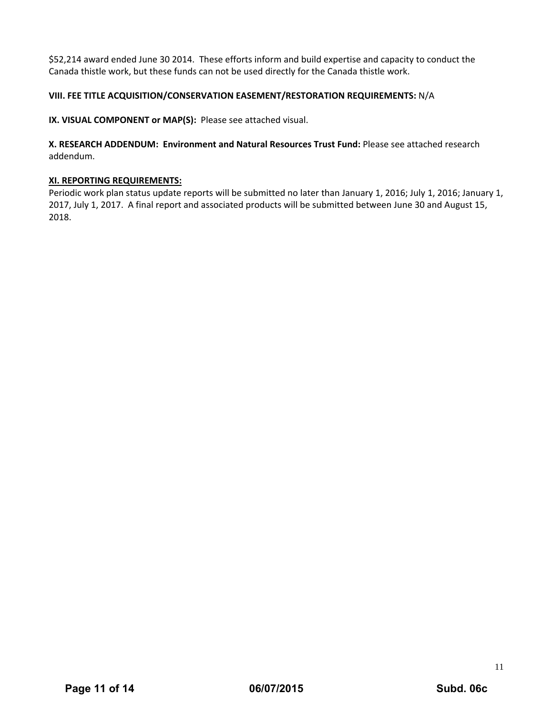\$52,214 award ended June 30 2014. These efforts inform and build expertise and capacity to conduct the Canada thistle work, but these funds can not be used directly for the Canada thistle work.

#### **VIII. FEE TITLE ACQUISITION/CONSERVATION EASEMENT/RESTORATION REQUIREMENTS:** N/A

**IX. VISUAL COMPONENT or MAP(S):** Please see attached visual.

**X. RESEARCH ADDENDUM: Environment and Natural Resources Trust Fund:** Please see attached research addendum.

#### **XI. REPORTING REQUIREMENTS:**

Periodic work plan status update reports will be submitted no later than January 1, 2016; July 1, 2016; January 1, 2017, July 1, 2017. A final report and associated products will be submitted between June 30 and August 15, 2018.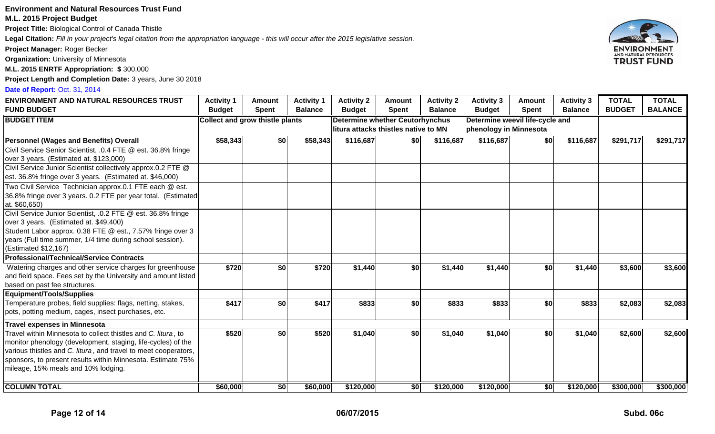#### **Environment and Natural Resources Trust Fund**

#### **M.L. 2015 Project Budget**

**Project Title:** Biological Control of Canada Thistle

**Legal Citation:** *Fill in your project's legal citation from the appropriation language - this will occur after the 2015 legislative session.*

**Project Manager:** Roger Becker

**Organization:** University of Minnesota

**M.L. 2015 ENRTF Appropriation: \$** 300,000

**Project Length and Completion Date:** 3 years, June 30 2018

#### **Date of Report:** Oct. 31, 2014

| <b>ENVIRONMENT AND NATURAL RESOURCES TRUST</b>                                                                                                                                                                                                                                                         | <b>Activity 1</b>                      | <b>Amount</b> | <b>Activity 1</b>                                                       | <b>Activity 2</b> | Amount                                                    | <b>Activity 2</b> | <b>Activity 3</b> | <b>Amount</b> | <b>Activity 3</b> | <b>TOTAL</b>  | <b>TOTAL</b>   |
|--------------------------------------------------------------------------------------------------------------------------------------------------------------------------------------------------------------------------------------------------------------------------------------------------------|----------------------------------------|---------------|-------------------------------------------------------------------------|-------------------|-----------------------------------------------------------|-------------------|-------------------|---------------|-------------------|---------------|----------------|
| <b>FUND BUDGET</b>                                                                                                                                                                                                                                                                                     | <b>Budget</b>                          | <b>Spent</b>  | <b>Balance</b>                                                          | <b>Budget</b>     | <b>Spent</b>                                              | <b>Balance</b>    | <b>Budget</b>     | <b>Spent</b>  | <b>Balance</b>    | <b>BUDGET</b> | <b>BALANCE</b> |
| <b>BUDGET ITEM</b>                                                                                                                                                                                                                                                                                     | <b>Collect and grow thistle plants</b> |               | Determine whether Ceutorhynchus<br>litura attacks thistles native to MN |                   | Determine weevil life-cycle and<br>phenology in Minnesota |                   |                   |               |                   |               |                |
| <b>Personnel (Wages and Benefits) Overall</b>                                                                                                                                                                                                                                                          | \$58,343                               | \$0           | \$58,343                                                                | \$116,687         | \$0                                                       | \$116,687         | \$116,687         | \$0           | \$116,687         | \$291,717     | \$291,717      |
| Civil Service Senior Scientist, .0.4 FTE @ est. 36.8% fringe<br>over 3 years. (Estimated at. \$123,000)                                                                                                                                                                                                |                                        |               |                                                                         |                   |                                                           |                   |                   |               |                   |               |                |
| Civil Service Junior Scientist collectively approx.0.2 FTE @<br>est. 36.8% fringe over 3 years. (Estimated at. \$46,000)                                                                                                                                                                               |                                        |               |                                                                         |                   |                                                           |                   |                   |               |                   |               |                |
| Two Civil Service Technician approx.0.1 FTE each @ est.<br>36.8% fringe over 3 years. 0.2 FTE per year total. (Estimated<br>at. \$60,650)                                                                                                                                                              |                                        |               |                                                                         |                   |                                                           |                   |                   |               |                   |               |                |
| Civil Service Junior Scientist, .0.2 FTE @ est. 36.8% fringe<br>over 3 years. (Estimated at. \$49,400)                                                                                                                                                                                                 |                                        |               |                                                                         |                   |                                                           |                   |                   |               |                   |               |                |
| Student Labor approx. 0.38 FTE @ est., 7.57% fringe over 3<br>years (Full time summer, 1/4 time during school session).<br>(Estimated \$12,167)                                                                                                                                                        |                                        |               |                                                                         |                   |                                                           |                   |                   |               |                   |               |                |
| <b>Professional/Technical/Service Contracts</b>                                                                                                                                                                                                                                                        |                                        |               |                                                                         |                   |                                                           |                   |                   |               |                   |               |                |
| Watering charges and other service charges for greenhouse<br>and field space. Fees set by the University and amount listed<br>based on past fee structures.                                                                                                                                            | \$720                                  | \$0           | \$720                                                                   | \$1,440           | \$0                                                       | \$1,440           | \$1,440           | \$0           | \$1,440           | \$3,600       | \$3,600        |
| <b>Equipment/Tools/Supplies</b>                                                                                                                                                                                                                                                                        |                                        |               |                                                                         |                   |                                                           |                   |                   |               |                   |               |                |
| Temperature probes, field supplies: flags, netting, stakes,<br>pots, potting medium, cages, insect purchases, etc.                                                                                                                                                                                     | \$417                                  | \$0           | \$417                                                                   | \$833             | \$0                                                       | \$833             | \$833             | \$0           | \$833             | \$2,083       | \$2,083        |
| <b>Travel expenses in Minnesota</b>                                                                                                                                                                                                                                                                    |                                        |               |                                                                         |                   |                                                           |                   |                   |               |                   |               |                |
| Travel within Minnesota to collect thistles and C. litura, to<br>monitor phenology (development, staging, life-cycles) of the<br>various thistles and C. litura, and travel to meet cooperators,<br>sponsors, to present results within Minnesota. Estimate 75%<br>mileage, 15% meals and 10% lodging. | \$520                                  | \$0           | \$520                                                                   | \$1,040           | \$0                                                       | \$1,040           | \$1,040           | \$0           | \$1,040           | \$2,600       | \$2,600        |
| <b>COLUMN TOTAL</b>                                                                                                                                                                                                                                                                                    | \$60,000                               | \$0           | \$60,000                                                                | \$120,000         | \$0                                                       | \$120,000         | \$120,000         | \$0           | \$120,000         | \$300,000     | \$300,000      |